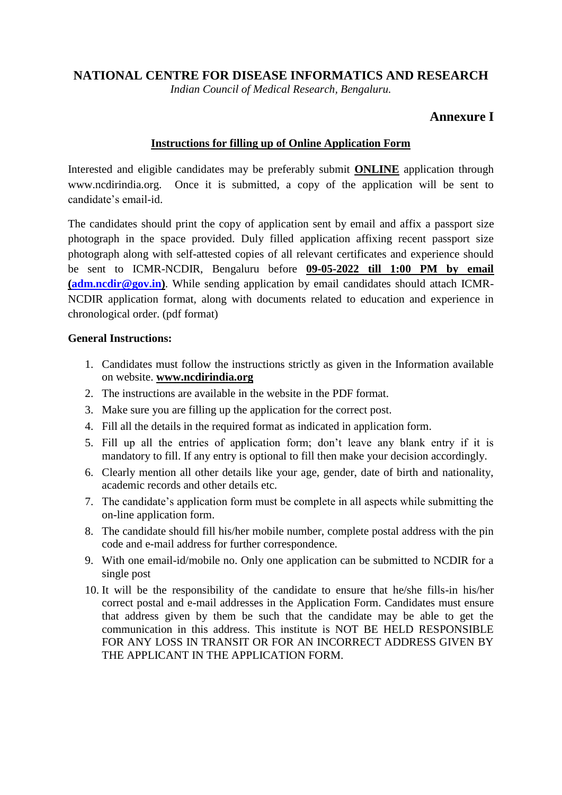## **NATIONAL CENTRE FOR DISEASE INFORMATICS AND RESEARCH**

*Indian Council of Medical Research, Bengaluru.*

# **Annexure I**

### **Instructions for filling up of Online Application Form**

Interested and eligible candidates may be preferably submit **ONLINE** application through [www.ncdirindia.org.](http://www.ncdirindia.org/) Once it is submitted, a copy of the application will be sent to candidate's email-id.

The candidates should print the copy of application sent by email and affix a passport size photograph in the space provided. Duly filled application affixing recent passport size photograph along with self-attested copies of all relevant certificates and experience should be sent to ICMR-NCDIR, Bengaluru before **09-05-2022 till 1:00 PM by email [\(adm.ncdir@gov.in\)](mailto:adm.ncdir@gov.in)**. While sending application by email candidates should attach ICMR-NCDIR application format, along with documents related to education and experience in chronological order. (pdf format)

#### **General Instructions:**

- 1. Candidates must follow the instructions strictly as given in the Information available on website. **www.ncdirindia.org**
- 2. The instructions are available in the website in the PDF format.
- 3. Make sure you are filling up the application for the correct post.
- 4. Fill all the details in the required format as indicated in application form.
- 5. Fill up all the entries of application form; don't leave any blank entry if it is mandatory to fill. If any entry is optional to fill then make your decision accordingly.
- 6. Clearly mention all other details like your age, gender, date of birth and nationality, academic records and other details etc.
- 7. The candidate's application form must be complete in all aspects while submitting the on-line application form.
- 8. The candidate should fill his/her mobile number, complete postal address with the pin code and e-mail address for further correspondence.
- 9. With one email-id/mobile no. Only one application can be submitted to NCDIR for a single post
- 10. It will be the responsibility of the candidate to ensure that he/she fills-in his/her correct postal and e-mail addresses in the Application Form. Candidates must ensure that address given by them be such that the candidate may be able to get the communication in this address. This institute is NOT BE HELD RESPONSIBLE FOR ANY LOSS IN TRANSIT OR FOR AN INCORRECT ADDRESS GIVEN BY THE APPLICANT IN THE APPLICATION FORM.